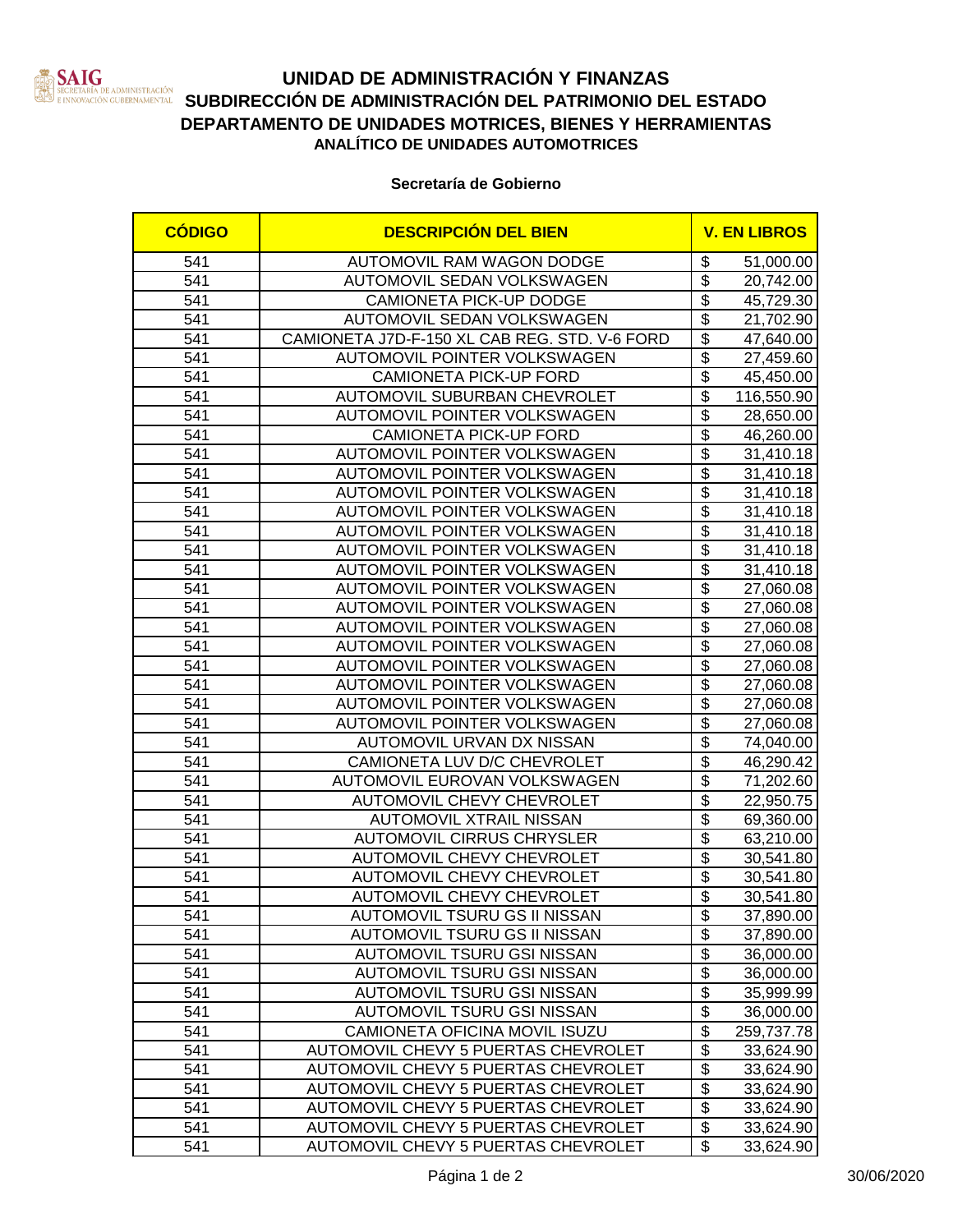

# **UNIDAD DE ADMINISTRACIÓN Y FINANZAS STADORES DE LA SUBDIRECCIÓN DE ADMINISTRACIÓN DEL PATRIMONIO DEL ESTADO**<br>Innovación cubernamental SUBDIRECCIÓN DE ADMINISTRACIÓN DEL PATRIMONIO DEL ESTADO **DEPARTAMENTO DE UNIDADES MOTRICES, BIENES Y HERRAMIENTAS ANALÍTICO DE UNIDADES AUTOMOTRICES**

### **Secretaría de Gobierno**

| <b>CÓDIGO</b>    | <b>DESCRIPCIÓN DEL BIEN</b>                   |                                  | <b>V. EN LIBROS</b> |
|------------------|-----------------------------------------------|----------------------------------|---------------------|
| 541              | AUTOMOVIL RAM WAGON DODGE                     | \$                               | 51,000.00           |
| 541              | AUTOMOVIL SEDAN VOLKSWAGEN                    | $\overline{\$}$                  | 20,742.00           |
| 541              | <b>CAMIONETA PICK-UP DODGE</b>                | $\overline{\$}$                  | 45,729.30           |
| 541              | AUTOMOVIL SEDAN VOLKSWAGEN                    | $\overline{\$}$                  | 21,702.90           |
| 541              | CAMIONETA J7D-F-150 XL CAB REG. STD. V-6 FORD | $\overline{\$}$                  | 47,640.00           |
| 541              | AUTOMOVIL POINTER VOLKSWAGEN                  | $\overline{\boldsymbol{\theta}}$ | 27,459.60           |
| 541              | <b>CAMIONETA PICK-UP FORD</b>                 | $\overline{\boldsymbol{\theta}}$ | 45,450.00           |
| 541              | <b>AUTOMOVIL SUBURBAN CHEVROLET</b>           | $\overline{\$}$                  | 116,550.90          |
| 541              | AUTOMOVIL POINTER VOLKSWAGEN                  | $\overline{\boldsymbol{\theta}}$ | 28,650.00           |
| 541              | <b>CAMIONETA PICK-UP FORD</b>                 | $\overline{\boldsymbol{\theta}}$ | 46,260.00           |
| 541              | AUTOMOVIL POINTER VOLKSWAGEN                  | $\overline{\boldsymbol{\theta}}$ | 31,410.18           |
| 541              | AUTOMOVIL POINTER VOLKSWAGEN                  | $\overline{\boldsymbol{\theta}}$ | 31,410.18           |
| 541              | AUTOMOVIL POINTER VOLKSWAGEN                  | \$                               | 31,410.18           |
| 541              | AUTOMOVIL POINTER VOLKSWAGEN                  | $\overline{\mathbb{S}}$          | 31,410.18           |
| 541              | AUTOMOVIL POINTER VOLKSWAGEN                  | \$                               | 31,410.18           |
| 541              | AUTOMOVIL POINTER VOLKSWAGEN                  | $\overline{\mathbf{S}}$          | 31,410.18           |
| 541              | AUTOMOVIL POINTER VOLKSWAGEN                  | \$                               | 31,410.18           |
| 541              | AUTOMOVIL POINTER VOLKSWAGEN                  | $\overline{\$}$                  | 27,060.08           |
| 541              | AUTOMOVIL POINTER VOLKSWAGEN                  | $\overline{\mathcal{S}}$         | 27,060.08           |
| 541              | AUTOMOVIL POINTER VOLKSWAGEN                  | $\overline{\mathcal{S}}$         | 27,060.08           |
| 541              | AUTOMOVIL POINTER VOLKSWAGEN                  | $\overline{\$}$                  | 27,060.08           |
| 541              | AUTOMOVIL POINTER VOLKSWAGEN                  | $\overline{\$}$                  | 27,060.08           |
| 541              | AUTOMOVIL POINTER VOLKSWAGEN                  | \$                               | 27,060.08           |
| 541              | AUTOMOVIL POINTER VOLKSWAGEN                  | $\overline{\mathcal{S}}$         | 27,060.08           |
| 541              | AUTOMOVIL POINTER VOLKSWAGEN                  | $\overline{\$}$                  | 27,060.08           |
| 541              | AUTOMOVIL URVAN DX NISSAN                     | $\overline{\$}$                  | 74,040.00           |
| 541              | CAMIONETA LUV D/C CHEVROLET                   | $\overline{\$}$                  | 46,290.42           |
| 541              | AUTOMOVIL EUROVAN VOLKSWAGEN                  | $\overline{\boldsymbol{\theta}}$ | 71,202.60           |
| 541              | AUTOMOVIL CHEVY CHEVROLET                     | $\overline{\boldsymbol{\theta}}$ | 22,950.75           |
| 541              | <b>AUTOMOVIL XTRAIL NISSAN</b>                | $\overline{\boldsymbol{\theta}}$ | 69,360.00           |
| 541              | <b>AUTOMOVIL CIRRUS CHRYSLER</b>              | $\overline{\boldsymbol{\theta}}$ | 63,210.00           |
| 541              | AUTOMOVIL CHEVY CHEVROLET                     | $\overline{\boldsymbol{\theta}}$ | 30,541.80           |
| 541              | AUTOMOVIL CHEVY CHEVROLET                     | $\overline{\$}$                  | 30,541.80           |
| 541              | <b>AUTOMOVIL CHEVY CHEVROLET</b>              | $\overline{\$}$                  | 30,541.80           |
| $\overline{541}$ | <b>AUTOMOVIL TSURU GS II NISSAN</b>           | $\overline{\$}$                  | 37,890.00           |
| 541              | AUTOMOVIL TSURU GS II NISSAN                  | \$                               | 37,890.00           |
| 541              | AUTOMOVIL TSURU GSI NISSAN                    | $\overline{\mathcal{E}}$         | 36,000.00           |
| 541              | AUTOMOVIL TSURU GSI NISSAN                    | $\overline{\boldsymbol{\theta}}$ | 36,000.00           |
| 541              | AUTOMOVIL TSURU GSI NISSAN                    | \$                               | 35,999.99           |
| 541              | AUTOMOVIL TSURU GSI NISSAN                    | \$                               | 36,000.00           |
| 541              | CAMIONETA OFICINA MOVIL ISUZU                 | \$                               | 259,737.78          |
| 541              | AUTOMOVIL CHEVY 5 PUERTAS CHEVROLET           | $\overline{\mathcal{S}}$         | 33,624.90           |
| 541              | AUTOMOVIL CHEVY 5 PUERTAS CHEVROLET           | \$                               | 33,624.90           |
| 541              | AUTOMOVIL CHEVY 5 PUERTAS CHEVROLET           | \$                               | 33,624.90           |
| 541              | AUTOMOVIL CHEVY 5 PUERTAS CHEVROLET           | \$                               | 33,624.90           |
| 541              | AUTOMOVIL CHEVY 5 PUERTAS CHEVROLET           | \$                               | 33,624.90           |
| 541              | AUTOMOVIL CHEVY 5 PUERTAS CHEVROLET           | \$                               | 33,624.90           |